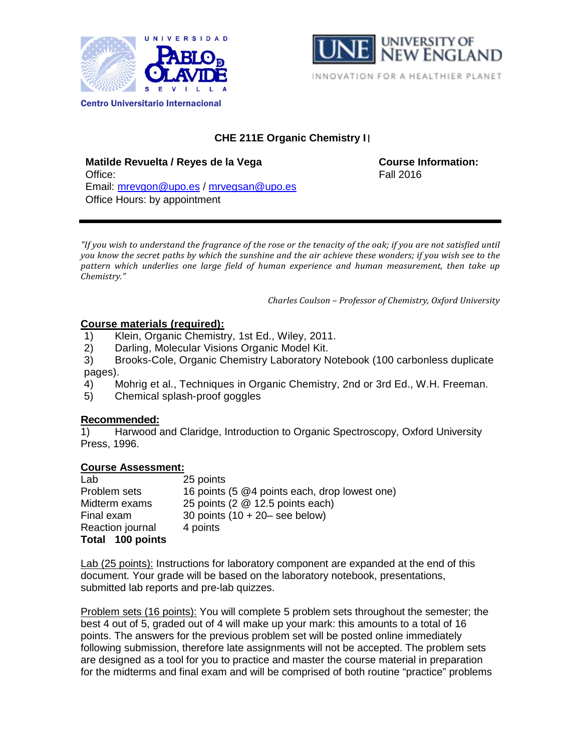



# **CHE 211E Organic Chemistry I** I

**Matilde Revuelta / Reyes de la Vega COUTSE COURT COURSE Information:** Office: Fall 2016 Email: [mrevgon@upo.es](mailto:mrevgon@upo.es) / [mrvegsan@upo.es](mailto:mrvegsan@upo.es) Office Hours: by appointment

*"If you wish to understand the fragrance of the rose or the tenacity of the oak; if you are not satisfied until you know the secret paths by which the sunshine and the air achieve these wonders; if you wish see to the pattern which underlies one large field of human experience and human measurement, then take up Chemistry."* 

*Charles Coulson – Professor of Chemistry, Oxford University*

# **Course materials (required):**

- 1) Klein, Organic Chemistry, 1st Ed., Wiley, 2011.
- 2) Darling, Molecular Visions Organic Model Kit.
- 3) Brooks-Cole, Organic Chemistry Laboratory Notebook (100 carbonless duplicate pages).
- 4) Mohrig et al., Techniques in Organic Chemistry, 2nd or 3rd Ed., W.H. Freeman.
- 5) Chemical splash-proof goggles

# **Recommended:**

1) Harwood and Claridge, Introduction to Organic Spectroscopy, Oxford University Press, 1996.

# **Course Assessment:**

| Lab              | 25 points                                     |
|------------------|-----------------------------------------------|
| Problem sets     | 16 points (5 @4 points each, drop lowest one) |
| Midterm exams    | 25 points (2 @ 12.5 points each)              |
| Final exam       | 30 points $(10 + 20 - \text{see below})$      |
| Reaction journal | 4 points                                      |
| Total 100 points |                                               |

Lab (25 points): Instructions for laboratory component are expanded at the end of this document. Your grade will be based on the laboratory notebook, presentations, submitted lab reports and pre-lab quizzes.

Problem sets (16 points): You will complete 5 problem sets throughout the semester; the best 4 out of 5, graded out of 4 will make up your mark: this amounts to a total of 16 points. The answers for the previous problem set will be posted online immediately following submission, therefore late assignments will not be accepted. The problem sets are designed as a tool for you to practice and master the course material in preparation for the midterms and final exam and will be comprised of both routine "practice" problems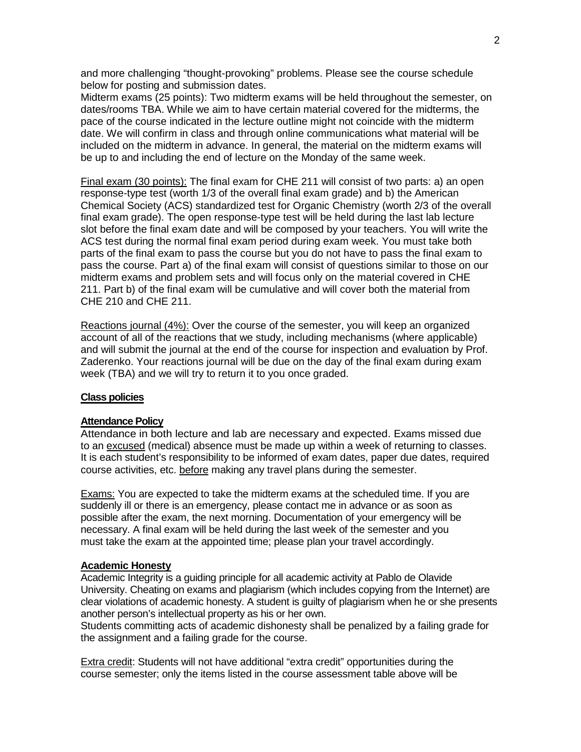and more challenging "thought-provoking" problems. Please see the course schedule below for posting and submission dates.

Midterm exams (25 points): Two midterm exams will be held throughout the semester, on dates/rooms TBA. While we aim to have certain material covered for the midterms, the pace of the course indicated in the lecture outline might not coincide with the midterm date. We will confirm in class and through online communications what material will be included on the midterm in advance. In general, the material on the midterm exams will be up to and including the end of lecture on the Monday of the same week.

Final exam (30 points): The final exam for CHE 211 will consist of two parts: a) an open response-type test (worth 1/3 of the overall final exam grade) and b) the American Chemical Society (ACS) standardized test for Organic Chemistry (worth 2/3 of the overall final exam grade). The open response-type test will be held during the last lab lecture slot before the final exam date and will be composed by your teachers. You will write the ACS test during the normal final exam period during exam week. You must take both parts of the final exam to pass the course but you do not have to pass the final exam to pass the course. Part a) of the final exam will consist of questions similar to those on our midterm exams and problem sets and will focus only on the material covered in CHE 211. Part b) of the final exam will be cumulative and will cover both the material from CHE 210 and CHE 211.

Reactions journal (4%): Over the course of the semester, you will keep an organized account of all of the reactions that we study, including mechanisms (where applicable) and will submit the journal at the end of the course for inspection and evaluation by Prof. Zaderenko. Your reactions journal will be due on the day of the final exam during exam week (TBA) and we will try to return it to you once graded.

### **Class policies**

#### **Attendance Policy**

Attendance in both lecture and lab are necessary and expected. Exams missed due to an excused (medical) absence must be made up within a week of returning to classes. It is each student's responsibility to be informed of exam dates, paper due dates, required course activities, etc. before making any travel plans during the semester.

Exams: You are expected to take the midterm exams at the scheduled time. If you are suddenly ill or there is an emergency, please contact me in advance or as soon as possible after the exam, the next morning. Documentation of your emergency will be necessary. A final exam will be held during the last week of the semester and you must take the exam at the appointed time; please plan your travel accordingly.

### **Academic Honesty**

Academic Integrity is a guiding principle for all academic activity at Pablo de Olavide University. Cheating on exams and plagiarism (which includes copying from the Internet) are clear violations of academic honesty. A student is guilty of plagiarism when he or she presents another person's intellectual property as his or her own.

Students committing acts of academic dishonesty shall be penalized by a failing grade for the assignment and a failing grade for the course.

Extra credit: Students will not have additional "extra credit" opportunities during the course semester; only the items listed in the course assessment table above will be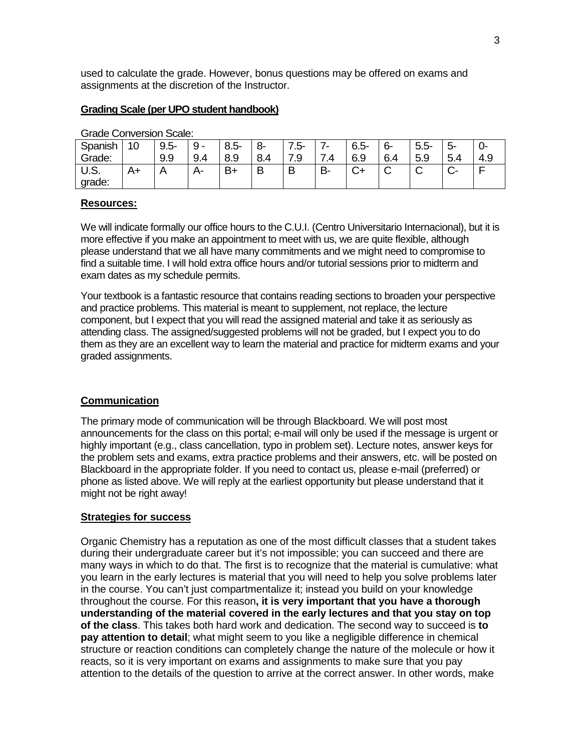used to calculate the grade. However, bonus questions may be offered on exams and assignments at the discretion of the Instructor.

### **Grading Scale (per UPO student handbook)**

| orago ooriyoroni oogio. |    |         |       |         |     |     |              |         |        |        |                  |     |
|-------------------------|----|---------|-------|---------|-----|-----|--------------|---------|--------|--------|------------------|-----|
| Spanish                 | 10 | $9.5 -$ | 9     | $8.5 -$ | 8-  | .5- | -            | $6.5 -$ | 6-     | $5.5-$ | <u>ົ້າ-</u><br>ັ | U-  |
| Grade:                  |    | 9.9     | 9.4   | 8.9     | 8.4 | '.9 | ⇁<br>$\cdot$ | 6.9     | 6.4    | 5.9    | 5.4              | 4.9 |
| U.S.<br>grade:          | A+ |         | $H^-$ | $B+$    | Β   |     | <b>B-</b>    | ⌒<br>◡⊤ | ⌒<br>ັ | ັ      | ◡                |     |

Grade Conversion Scale:

### **Resources:**

We will indicate formally our office hours to the C.U.I. (Centro Universitario Internacional), but it is more effective if you make an appointment to meet with us, we are quite flexible, although please understand that we all have many commitments and we might need to compromise to find a suitable time. I will hold extra office hours and/or tutorial sessions prior to midterm and exam dates as my schedule permits.

Your textbook is a fantastic resource that contains reading sections to broaden your perspective and practice problems. This material is meant to supplement, not replace, the lecture component, but I expect that you will read the assigned material and take it as seriously as attending class. The assigned/suggested problems will not be graded, but I expect you to do them as they are an excellent way to learn the material and practice for midterm exams and your graded assignments.

### **Communication**

The primary mode of communication will be through Blackboard. We will post most announcements for the class on this portal; e-mail will only be used if the message is urgent or highly important (e.g., class cancellation, typo in problem set). Lecture notes, answer keys for the problem sets and exams, extra practice problems and their answers, etc. will be posted on Blackboard in the appropriate folder. If you need to contact us, please e-mail (preferred) or phone as listed above. We will reply at the earliest opportunity but please understand that it might not be right away!

### **Strategies for success**

Organic Chemistry has a reputation as one of the most difficult classes that a student takes during their undergraduate career but it's not impossible; you can succeed and there are many ways in which to do that. The first is to recognize that the material is cumulative: what you learn in the early lectures is material that you will need to help you solve problems later in the course. You can't just compartmentalize it; instead you build on your knowledge throughout the course. For this reason**, it is very important that you have a thorough understanding of the material covered in the early lectures and that you stay on top of the class**. This takes both hard work and dedication. The second way to succeed is **to pay attention to detail**; what might seem to you like a negligible difference in chemical structure or reaction conditions can completely change the nature of the molecule or how it reacts, so it is very important on exams and assignments to make sure that you pay attention to the details of the question to arrive at the correct answer. In other words, make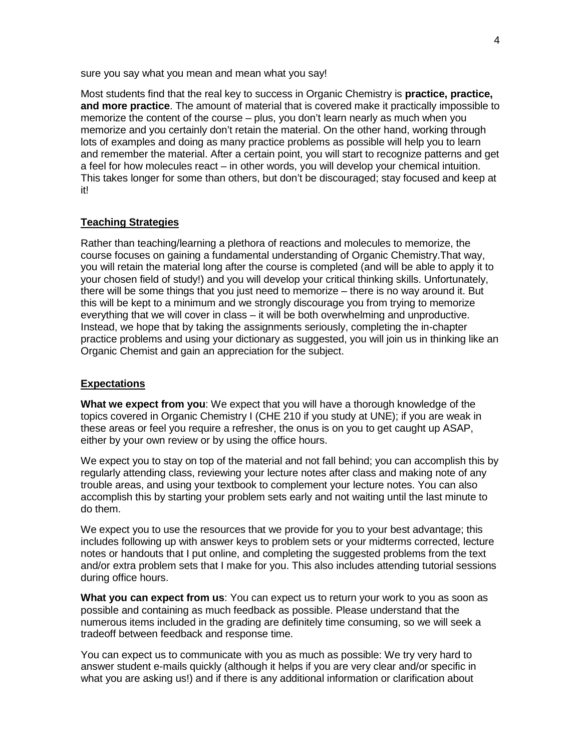sure you say what you mean and mean what you say!

Most students find that the real key to success in Organic Chemistry is **practice, practice, and more practice**. The amount of material that is covered make it practically impossible to memorize the content of the course – plus, you don't learn nearly as much when you memorize and you certainly don't retain the material. On the other hand, working through lots of examples and doing as many practice problems as possible will help you to learn and remember the material. After a certain point, you will start to recognize patterns and get a feel for how molecules react – in other words, you will develop your chemical intuition. This takes longer for some than others, but don't be discouraged; stay focused and keep at it!

### **Teaching Strategies**

Rather than teaching/learning a plethora of reactions and molecules to memorize, the course focuses on gaining a fundamental understanding of Organic Chemistry.That way, you will retain the material long after the course is completed (and will be able to apply it to your chosen field of study!) and you will develop your critical thinking skills. Unfortunately, there will be some things that you just need to memorize – there is no way around it. But this will be kept to a minimum and we strongly discourage you from trying to memorize everything that we will cover in class – it will be both overwhelming and unproductive. Instead, we hope that by taking the assignments seriously, completing the in-chapter practice problems and using your dictionary as suggested, you will join us in thinking like an Organic Chemist and gain an appreciation for the subject.

### **Expectations**

**What we expect from you**: We expect that you will have a thorough knowledge of the topics covered in Organic Chemistry I (CHE 210 if you study at UNE); if you are weak in these areas or feel you require a refresher, the onus is on you to get caught up ASAP, either by your own review or by using the office hours.

We expect you to stay on top of the material and not fall behind; you can accomplish this by regularly attending class, reviewing your lecture notes after class and making note of any trouble areas, and using your textbook to complement your lecture notes. You can also accomplish this by starting your problem sets early and not waiting until the last minute to do them.

We expect you to use the resources that we provide for you to your best advantage; this includes following up with answer keys to problem sets or your midterms corrected, lecture notes or handouts that I put online, and completing the suggested problems from the text and/or extra problem sets that I make for you. This also includes attending tutorial sessions during office hours.

**What you can expect from us**: You can expect us to return your work to you as soon as possible and containing as much feedback as possible. Please understand that the numerous items included in the grading are definitely time consuming, so we will seek a tradeoff between feedback and response time.

You can expect us to communicate with you as much as possible: We try very hard to answer student e-mails quickly (although it helps if you are very clear and/or specific in what you are asking us!) and if there is any additional information or clarification about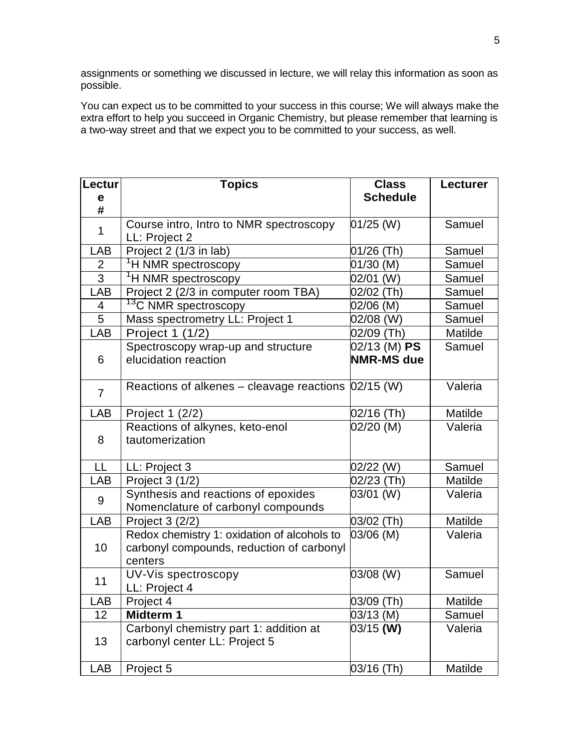assignments or something we discussed in lecture, we will relay this information as soon as possible.

You can expect us to be committed to your success in this course; We will always make the extra effort to help you succeed in Organic Chemistry, but please remember that learning is a two-way street and that we expect you to be committed to your success, as well.

| Lectur         | <b>Topics</b>                                                                                       | <b>Class</b>                      | <b>Lecturer</b> |
|----------------|-----------------------------------------------------------------------------------------------------|-----------------------------------|-----------------|
| e              |                                                                                                     | <b>Schedule</b>                   |                 |
| #              |                                                                                                     |                                   |                 |
| $\mathbf{1}$   | Course intro, Intro to NMR spectroscopy<br>LL: Project 2                                            | $01/25$ (W)                       | Samuel          |
| LAB            | Project 2 (1/3 in lab)                                                                              | 01/26 (Th)                        | Samuel          |
| $\frac{2}{3}$  | <sup>1</sup> H NMR spectroscopy                                                                     | 01/30 (M)                         | Samuel          |
|                | <sup>1</sup> H NMR spectroscopy                                                                     | 02/01 (W)                         | Samuel          |
| <b>LAB</b>     | Project 2 (2/3 in computer room TBA)                                                                | 02/02 (Th)                        | Samuel          |
| 4              | <sup>13</sup> C NMR spectroscopy                                                                    | 02/06 (M)                         | Samuel          |
| 5              | Mass spectrometry LL: Project 1                                                                     | 02/08 (W)                         | Samuel          |
| LAB            | Project 1 (1/2)                                                                                     | 02/09 (Th)                        | Matilde         |
| 6              | Spectroscopy wrap-up and structure<br>elucidation reaction                                          | 02/13 (M) PS<br><b>NMR-MS due</b> | Samuel          |
| $\overline{7}$ | Reactions of alkenes – cleavage reactions  02/15 (W)                                                |                                   | Valeria         |
| LAB            | Project 1 (2/2)                                                                                     | 02/16 (Th)                        | Matilde         |
| 8              | Reactions of alkynes, keto-enol<br>tautomerization                                                  | 02/20 (M)                         | Valeria         |
| LL             | LL: Project 3                                                                                       | 02/22 (W)                         | Samuel          |
| LAB            | Project 3 (1/2)                                                                                     | 02/23 (Th)                        | Matilde         |
| 9              | Synthesis and reactions of epoxides<br>Nomenclature of carbonyl compounds                           | 03/01 (W)                         | Valeria         |
| LAB            | Project 3 (2/2)                                                                                     | 03/02 (Th)                        | Matilde         |
| 10             | Redox chemistry 1: oxidation of alcohols to<br>carbonyl compounds, reduction of carbonyl<br>centers | 03/06 (M)                         | Valeria         |
| 11             | UV-Vis spectroscopy<br>LL: Project 4                                                                | 03/08 (W)                         | Samuel          |
| LAB            | Project 4                                                                                           | 03/09 (Th)                        | Matilde         |
| 12             | Midterm 1                                                                                           | 03/13 (M)                         | Samuel          |
| 13             | Carbonyl chemistry part 1: addition at<br>carbonyl center LL: Project 5                             | 03/15 (W)                         | Valeria         |
| <b>LAB</b>     | Project 5                                                                                           | 03/16 (Th)                        | Matilde         |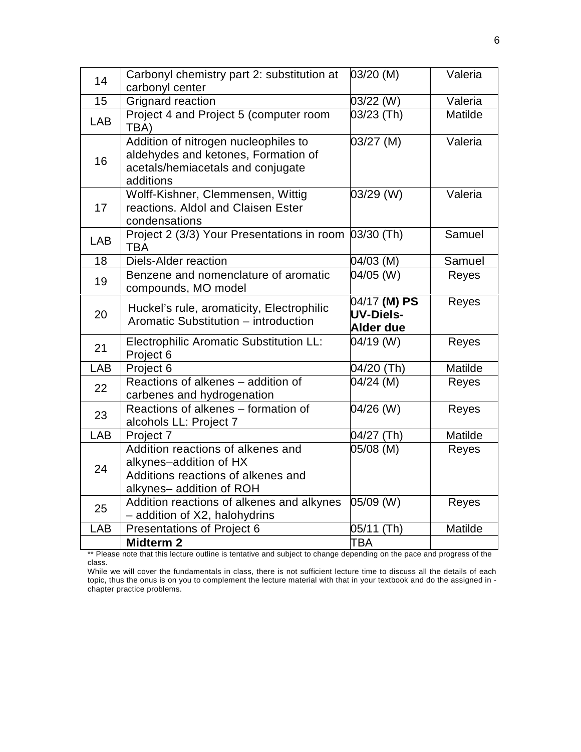| 14         | Carbonyl chemistry part 2: substitution at                                                                                    | 03/20 (M)                                     | Valeria |
|------------|-------------------------------------------------------------------------------------------------------------------------------|-----------------------------------------------|---------|
| 15         | carbonyl center<br>Grignard reaction                                                                                          | 03/22 (W)                                     | Valeria |
| <b>LAB</b> | Project 4 and Project 5 (computer room<br>TBA)                                                                                | 03/23 (Th)                                    | Matilde |
| 16         | Addition of nitrogen nucleophiles to<br>aldehydes and ketones, Formation of<br>acetals/hemiacetals and conjugate<br>additions | 03/27 (M)                                     | Valeria |
| 17         | Wolff-Kishner, Clemmensen, Wittig<br>reactions. Aldol and Claisen Ester<br>condensations                                      | 03/29 (W)                                     | Valeria |
| LAB        | Project 2 (3/3) Your Presentations in room 03/30 (Th)<br><b>TBA</b>                                                           |                                               | Samuel  |
| 18         | <b>Diels-Alder reaction</b>                                                                                                   | 04/03 (M)                                     | Samuel  |
| 19         | Benzene and nomenclature of aromatic<br>compounds, MO model                                                                   | $\sqrt{04}/05$ (W)                            | Reyes   |
| 20         | Huckel's rule, aromaticity, Electrophilic<br>Aromatic Substitution - introduction                                             | 04/17 (M) PS<br>UV-Diels-<br><b>Alder due</b> | Reyes   |
| 21         | <b>Electrophilic Aromatic Substitution LL:</b><br>Project 6                                                                   | 04/19 (W)                                     | Reyes   |
| LAB        | Project 6                                                                                                                     | 04/20 (Th)                                    | Matilde |
| 22         | Reactions of alkenes - addition of<br>carbenes and hydrogenation                                                              | 04/24 (M)                                     | Reyes   |
| 23         | Reactions of alkenes - formation of<br>alcohols LL: Project 7                                                                 | 04/26 (W)                                     | Reyes   |
| LAB        | Project 7                                                                                                                     | 04/27 (Th)                                    | Matilde |
| 24         | Addition reactions of alkenes and<br>alkynes-addition of HX<br>Additions reactions of alkenes and<br>alkynes-addition of ROH  | 05/08 (M)                                     | Reyes   |
| 25         | Addition reactions of alkenes and alkynes<br>- addition of X2, halohydrins                                                    | 05/09 (W)                                     | Reyes   |
| LAB        | <b>Presentations of Project 6</b>                                                                                             | 05/11 (Th)                                    | Matilde |
|            | <b>Midterm 2</b>                                                                                                              | TBA                                           |         |

\*\* Please note that this lecture outline is tentative and subject to change depending on the pace and progress of the class.

While we will cover the fundamentals in class, there is not sufficient lecture time to discuss all the details of each topic, thus the onus is on you to complement the lecture material with that in your textbook and do the assigned in chapter practice problems.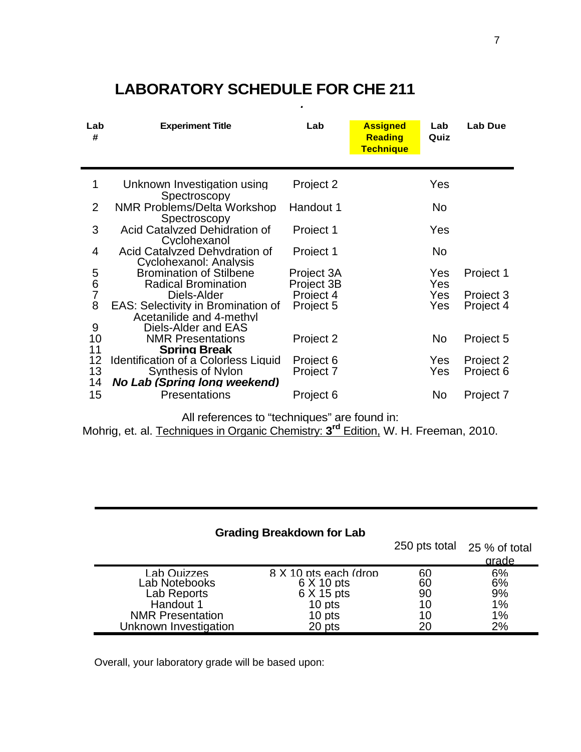| Lab<br># | <b>Experiment Title</b>                                                                      | Lab        | <b>Assigned</b><br><b>Reading</b><br><b>Technique</b> | Lab<br>Quiz | Lab Due   |
|----------|----------------------------------------------------------------------------------------------|------------|-------------------------------------------------------|-------------|-----------|
| 1        | Unknown Investigation using<br>Spectroscopy                                                  | Project 2  |                                                       | Yes         |           |
| 2        | NMR Problems/Delta Workshop<br>Spectroscopy                                                  | Handout 1  |                                                       | No          |           |
| 3        | Acid Catalyzed Dehidration of<br>Cyclohexanol                                                | Project 1  |                                                       | Yes         |           |
| 4        | Acid Catalyzed Dehydration of<br><b>Cyclohexanol: Analysis</b>                               | Project 1  |                                                       | No          |           |
|          | <b>Bromination of Stilbene</b>                                                               | Project 3A |                                                       | Yes         | Project 1 |
| 5678     | <b>Radical Bromination</b>                                                                   | Project 3B |                                                       | Yes         |           |
|          | Diels-Alder                                                                                  | Project 4  |                                                       | <b>Yes</b>  | Project 3 |
|          | <b>EAS: Selectivity in Bromination of</b><br>Acetanilide and 4-methyl<br>Diels-Alder and EAS | Project 5  |                                                       | <b>Yes</b>  | Project 4 |
| 9<br>10  | <b>NMR Presentations</b>                                                                     | Project 2  |                                                       | No.         | Project 5 |
| 11       | <b>Spring Break</b>                                                                          |            |                                                       |             |           |
| 12       | <b>Identification of a Colorless Liquid</b>                                                  | Project 6  |                                                       | Yes         | Project 2 |
| 13<br>14 | <b>Synthesis of Nylon</b><br>No Lab (Spring long weekend)                                    | Project 7  |                                                       | <b>Yes</b>  | Project 6 |
| 15       | <b>Presentations</b>                                                                         | Project 6  |                                                       | No          | Project 7 |

*.*

# **LABORATORY SCHEDULE FOR CHE 211**

All references to "techniques" are found in:

Mohrig, et. al. Techniques in Organic Chemistry: **3rd** Edition, W. H. Freeman, 2010.

# **Grading Breakdown for Lab**

|                         |                        | 250 pts total | 25 % of total<br>grade |
|-------------------------|------------------------|---------------|------------------------|
| Lab Quizzes             | 8 X 10 pts each (drop) | 60            | 6%                     |
| Lab Notebooks           | $6 \times 10$ pts      | 60            | 6%                     |
| Lab Reports             | $6 \times 15$ pts      | 90            | 9%                     |
| Handout 1               | 10 pts                 | 10            | 1%                     |
| <b>NMR Presentation</b> | 10 pts                 | 10            | 1%                     |
| Unknown Investigation   | 20 pts                 | 20            | 2%                     |

Overall, your laboratory grade will be based upon: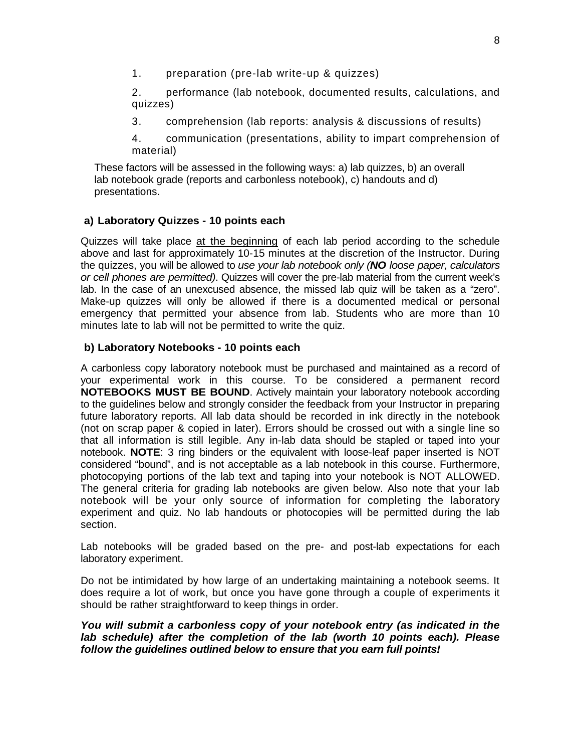1. preparation (pre-lab write-up & quizzes)

2. performance (lab notebook, documented results, calculations, and quizzes)

3. comprehension (lab reports: analysis & discussions of results)

4. communication (presentations, ability to impart comprehension of material)

These factors will be assessed in the following ways: a) lab quizzes, b) an overall lab notebook grade (reports and carbonless notebook), c) handouts and d) presentations.

# **a) Laboratory Quizzes - 10 points each**

Quizzes will take place at the beginning of each lab period according to the schedule above and last for approximately 10-15 minutes at the discretion of the Instructor. During the quizzes, you will be allowed to *use your lab notebook only (NO loose paper, calculators or cell phones are permitted)*. Quizzes will cover the pre-lab material from the current week's lab. In the case of an unexcused absence, the missed lab quiz will be taken as a "zero". Make-up quizzes will only be allowed if there is a documented medical or personal emergency that permitted your absence from lab. Students who are more than 10 minutes late to lab will not be permitted to write the quiz.

### **b) Laboratory Notebooks - 10 points each**

A carbonless copy laboratory notebook must be purchased and maintained as a record of your experimental work in this course. To be considered a permanent record **NOTEBOOKS MUST BE BOUND**. Actively maintain your laboratory notebook according to the guidelines below and strongly consider the feedback from your Instructor in preparing future laboratory reports. All lab data should be recorded in ink directly in the notebook (not on scrap paper & copied in later). Errors should be crossed out with a single line so that all information is still legible. Any in-lab data should be stapled or taped into your notebook. **NOTE**: 3 ring binders or the equivalent with loose-leaf paper inserted is NOT considered "bound", and is not acceptable as a lab notebook in this course. Furthermore, photocopying portions of the lab text and taping into your notebook is NOT ALLOWED. The general criteria for grading lab notebooks are given below. Also note that your lab notebook will be your only source of information for completing the laboratory experiment and quiz. No lab handouts or photocopies will be permitted during the lab section.

Lab notebooks will be graded based on the pre- and post-lab expectations for each laboratory experiment.

Do not be intimidated by how large of an undertaking maintaining a notebook seems. It does require a lot of work, but once you have gone through a couple of experiments it should be rather straightforward to keep things in order.

### *You will submit a carbonless copy of your notebook entry (as indicated in the lab schedule) after the completion of the lab (worth 10 points each). Please follow the guidelines outlined below to ensure that you earn full points!*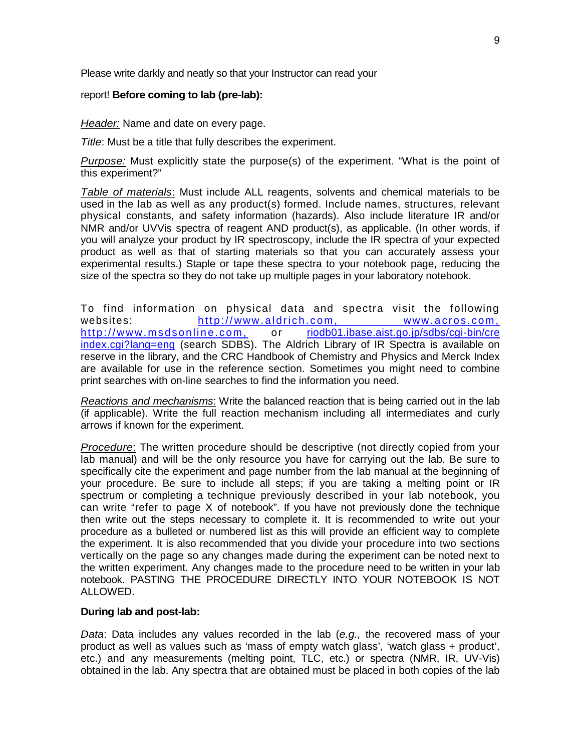Please write darkly and neatly so that your Instructor can read your

### report! **Before coming to lab (pre-lab):**

*Header:* Name and date on every page.

*Title*: Must be a title that fully describes the experiment.

*Purpose:* Must explicitly state the purpose(s) of the experiment. "What is the point of this experiment?"

*Table of materials*: Must include ALL reagents, solvents and chemical materials to be used in the lab as well as any product(s) formed. Include names, structures, relevant physical constants, and safety information (hazards). Also include literature IR and/or NMR and/or UVVis spectra of reagent AND product(s), as applicable. (In other words, if you will analyze your product by IR spectroscopy, include the IR spectra of your expected product as well as that of starting materials so that you can accurately assess your experimental results.) Staple or tape these spectra to your notebook page, reducing the size of the spectra so they do not take up multiple pages in your laboratory notebook.

To find information on physical data and spectra visit the following<br>websites: http://www.aldrich.com, www.acros.com, websites: [http://www.aldrich.com,](http://www.aldrich.com/) [http://www.msdsonline.com,](http://www.msdsonline.com/) or [riodb01.ibase.aist.go.jp/sdbs/cgi-bin/cre](http://riodb01.ibase.aist.go.jp/sdbs/cgi-bin/cre) index.cgi?lang=eng (search SDBS). The Aldrich Library of IR Spectra is available on reserve in the library, and the CRC Handbook of Chemistry and Physics and Merck Index are available for use in the reference section. Sometimes you might need to combine print searches with on-line searches to find the information you need.

*Reactions and mechanisms*: Write the balanced reaction that is being carried out in the lab (if applicable). Write the full reaction mechanism including all intermediates and curly arrows if known for the experiment.

*Procedure*: The written procedure should be descriptive (not directly copied from your lab manual) and will be the only resource you have for carrying out the lab. Be sure to specifically cite the experiment and page number from the lab manual at the beginning of your procedure. Be sure to include all steps; if you are taking a melting point or IR spectrum or completing a technique previously described in your lab notebook, you can write "refer to page X of notebook". If you have not previously done the technique then write out the steps necessary to complete it. It is recommended to write out your procedure as a bulleted or numbered list as this will provide an efficient way to complete the experiment. It is also recommended that you divide your procedure into two sections vertically on the page so any changes made during the experiment can be noted next to the written experiment. Any changes made to the procedure need to be written in your lab notebook. PASTING THE PROCEDURE DIRECTLY INTO YOUR NOTEBOOK IS NOT ALLOWED.

### **During lab and post-lab:**

*Data*: Data includes any values recorded in the lab (*e.g.,* the recovered mass of your product as well as values such as 'mass of empty watch glass', 'watch glass + product', etc.) and any measurements (melting point, TLC, etc.) or spectra (NMR, IR, UV-Vis) obtained in the lab. Any spectra that are obtained must be placed in both copies of the lab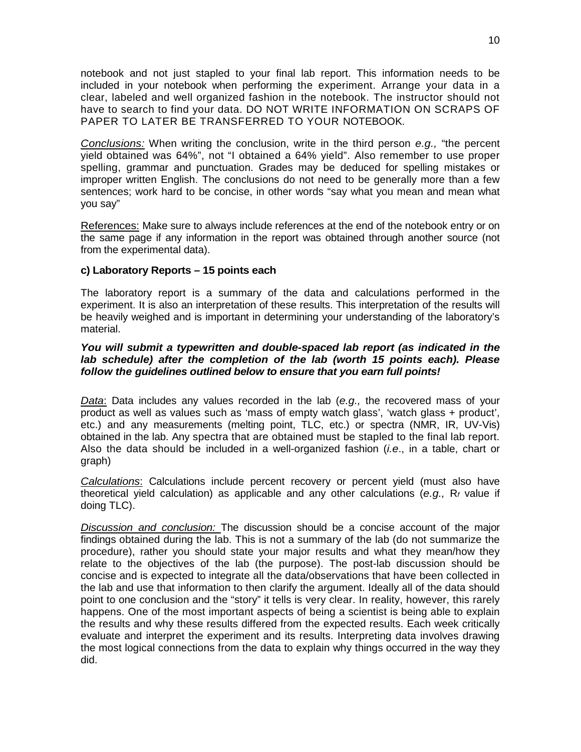notebook and not just stapled to your final lab report. This information needs to be included in your notebook when performing the experiment. Arrange your data in a clear, labeled and well organized fashion in the notebook. The instructor should not have to search to find your data. DO NOT WRITE INFORMATION ON SCRAPS OF PAPER TO LATER BE TRANSFERRED TO YOUR NOTEBOOK.

*Conclusions:* When writing the conclusion, write in the third person *e.g.,* "the percent yield obtained was 64%", not "I obtained a 64% yield". Also remember to use proper spelling, grammar and punctuation. Grades may be deduced for spelling mistakes or improper written English. The conclusions do not need to be generally more than a few sentences; work hard to be concise, in other words "say what you mean and mean what you say"

References: Make sure to always include references at the end of the notebook entry or on the same page if any information in the report was obtained through another source (not from the experimental data).

### **c) Laboratory Reports – 15 points each**

The laboratory report is a summary of the data and calculations performed in the experiment. It is also an interpretation of these results. This interpretation of the results will be heavily weighed and is important in determining your understanding of the laboratory's material.

### *You will submit a typewritten and double-spaced lab report (as indicated in the lab schedule) after the completion of the lab (worth 15 points each). Please follow the guidelines outlined below to ensure that you earn full points!*

*Data*: Data includes any values recorded in the lab (*e.g.,* the recovered mass of your product as well as values such as 'mass of empty watch glass', 'watch glass + product', etc.) and any measurements (melting point, TLC, etc.) or spectra (NMR, IR, UV-Vis) obtained in the lab. Any spectra that are obtained must be stapled to the final lab report. Also the data should be included in a well-organized fashion (*i.e*., in a table, chart or graph)

*Calculations*: Calculations include percent recovery or percent yield (must also have theoretical yield calculation) as applicable and any other calculations (*e.g.,* R*<sup>f</sup>* value if doing TLC).

*Discussion and conclusion:* The discussion should be a concise account of the major findings obtained during the lab. This is not a summary of the lab (do not summarize the procedure), rather you should state your major results and what they mean/how they relate to the objectives of the lab (the purpose). The post-lab discussion should be concise and is expected to integrate all the data/observations that have been collected in the lab and use that information to then clarify the argument. Ideally all of the data should point to one conclusion and the "story" it tells is very clear. In reality, however, this rarely happens. One of the most important aspects of being a scientist is being able to explain the results and why these results differed from the expected results. Each week critically evaluate and interpret the experiment and its results. Interpreting data involves drawing the most logical connections from the data to explain why things occurred in the way they did.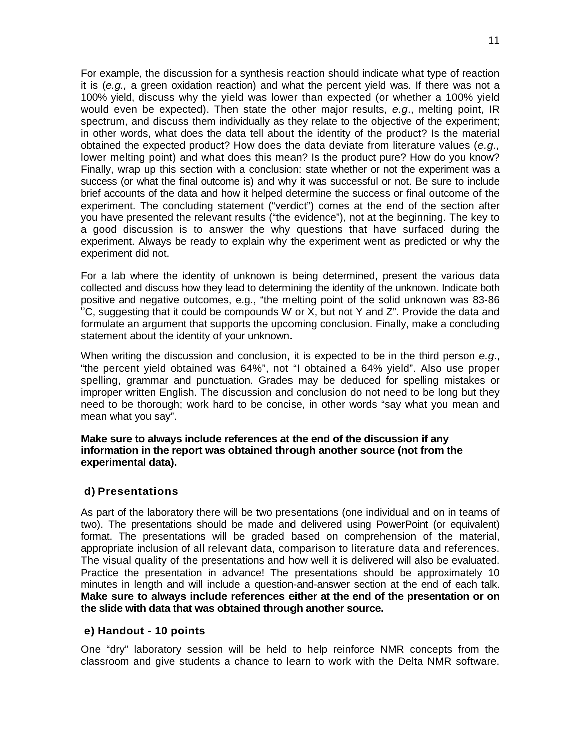For example, the discussion for a synthesis reaction should indicate what type of reaction it is (*e.g.,* a green oxidation reaction) and what the percent yield was. If there was not a 100% yield, discuss why the yield was lower than expected (or whether a 100% yield would even be expected). Then state the other major results, *e.g*., melting point, IR spectrum, and discuss them individually as they relate to the objective of the experiment; in other words, what does the data tell about the identity of the product? Is the material obtained the expected product? How does the data deviate from literature values (*e.g.,*  lower melting point) and what does this mean? Is the product pure? How do you know? Finally, wrap up this section with a conclusion: state whether or not the experiment was a success (or what the final outcome is) and why it was successful or not. Be sure to include brief accounts of the data and how it helped determine the success or final outcome of the experiment. The concluding statement ("verdict") comes at the end of the section after you have presented the relevant results ("the evidence"), not at the beginning. The key to a good discussion is to answer the why questions that have surfaced during the experiment. Always be ready to explain why the experiment went as predicted or why the experiment did not.

For a lab where the identity of unknown is being determined, present the various data collected and discuss how they lead to determining the identity of the unknown. Indicate both positive and negative outcomes, e.g., "the melting point of the solid unknown was 83-86  $\degree$ C, suggesting that it could be compounds W or X, but not Y and Z". Provide the data and formulate an argument that supports the upcoming conclusion. Finally, make a concluding statement about the identity of your unknown.

When writing the discussion and conclusion, it is expected to be in the third person *e.g*., "the percent yield obtained was 64%", not "I obtained a 64% yield". Also use proper spelling, grammar and punctuation. Grades may be deduced for spelling mistakes or improper written English. The discussion and conclusion do not need to be long but they need to be thorough; work hard to be concise, in other words "say what you mean and mean what you say".

### **Make sure to always include references at the end of the discussion if any information in the report was obtained through another source (not from the experimental data).**

# **d) Presentations**

As part of the laboratory there will be two presentations (one individual and on in teams of two). The presentations should be made and delivered using PowerPoint (or equivalent) format. The presentations will be graded based on comprehension of the material, appropriate inclusion of all relevant data, comparison to literature data and references. The visual quality of the presentations and how well it is delivered will also be evaluated. Practice the presentation in advance! The presentations should be approximately 10 minutes in length and will include a question-and-answer section at the end of each talk. **Make sure to always include references either at the end of the presentation or on the slide with data that was obtained through another source.**

### **e) Handout - 10 points**

One "dry" laboratory session will be held to help reinforce NMR concepts from the classroom and give students a chance to learn to work with the Delta NMR software.